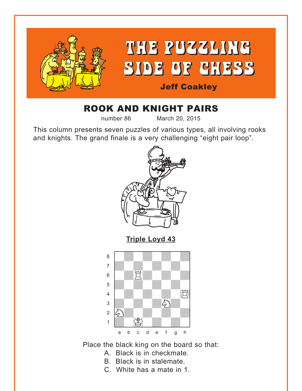<span id="page-0-0"></span>

# ROOK AND KNIGHT PAIRS

number 86 March 20, 2015

This column presents seven puzzles of various types, all involving rooks and knights. The grand finale is a very challenging "eight pair loop".



**[Triple Loyd 43](#page-5-0)**



Place the black king on the board so that:

- A. Black is in checkmate.
- B. Black is in stalemate.
- C. White has a mate in 1.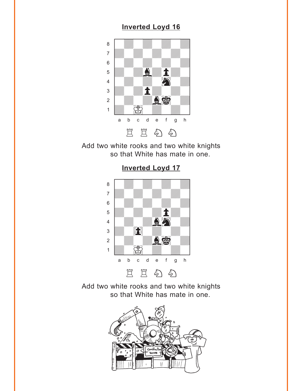#### **[Inverted Loyd 16](#page-5-0)**

<span id="page-1-0"></span>

Add two white rooks and two white knights so that White has mate in one.



**[Inverted Loyd 17](#page-6-0)**

Add two white rooks and two white knights so that White has mate in one.

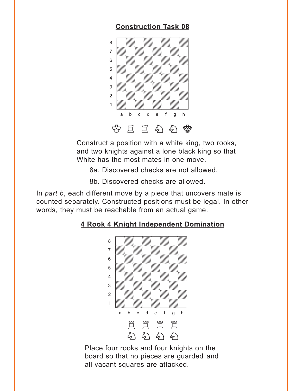## **[Construction Task 08](#page-6-0)**

<span id="page-2-0"></span>

Construct a position with a white king, two rooks, and two knights against a lone black king so that White has the most mates in one move.

8a. Discovered checks are not allowed.

8b. Discovered checks are allowed.

In *part b*, each different move by a piece that uncovers mate is counted separately. Constructed positions must be legal. In other words, they must be reachable from an actual game.

## where  $\frac{1}{2}$  is the set of  $\frac{1}{2}$ a Milliam Milliam Milliam Milliam Milliam Milliam Milliam Milliam Milliam Milliam Milliam Milliam Milliam Mill adwadwadwadwadwadwadwadwadwadwadwa  $\begin{bmatrix} \begin{array}{ccc} \text{S} & \text{S} \end{array} & \text{S} & \text{S} & \text{S} & \text{S} & \text{S} & \text{S} & \text{S} & \text{S} & \text{S} & \text{S} & \text{S} & \text{S} & \text{S} & \text{S} & \text{S} & \text{S} & \text{S} & \text{S} & \text{S} & \text{S} & \text{S} & \text{S} & \text{S} & \text{S} & \text{S} & \text{S} & \text{S} & \text{S} & \text{S} & \text{S} & \text{S} & \text{S$ 5 *VIII. VIII. VIII.* 4 | *William William William William William William William William William William William William William William William William William William William William William William William William William William William W* 3 *William William William William William William William William William William William William William William W* 2 | *William William William William William William William William William William William William William William W* 1 *Údwarf William William William William William William William William William William William William William W* a b c d e f g h EEEE 匀匀匀匀

**[4 Rook 4 Knight Independent Domination](#page-7-0)**

Place four rooks and four knights on the board so that no pieces are guarded and all vacant squares are attacked.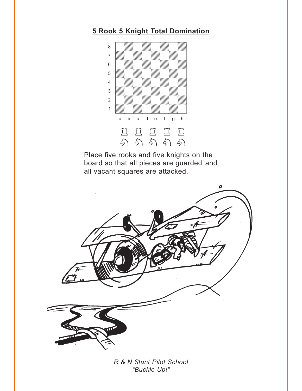### <span id="page-3-0"></span>**[5 Rook 5 Knight Total Domination](#page-8-0)**



Place five rooks and five knights on the board so that all pieces are guarded and all vacant squares are attacked.



*R & N Stunt Pilot School "Buckle Up!"*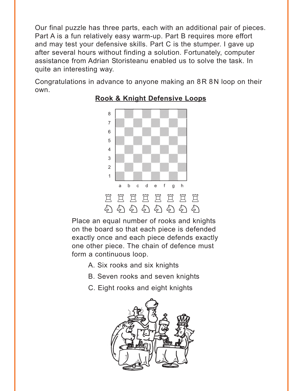<span id="page-4-0"></span>Our final puzzle has three parts, each with an additional pair of pieces. Part A is a fun relatively easy warm-up. Part B requires more effort and may test your defensive skills. Part C is the stumper. I gave up after several hours without finding a solution. Fortunately, computer assistance from Adrian Storisteanu enabled us to solve the task. In quite an interesting way.

Congratulations in advance to anyone making an 8R 8N loop on their own.



#### **[Rook & Knight Defensive Loops](#page-8-0)**

Place an equal number of rooks and knights on the board so that each piece is defended exactly once and each piece defends exactly one other piece. The chain of defence must form a continuous loop.

- A. Six rooks and six knights
- B. Seven rooks and seven knights
- C. Eight rooks and eight knights

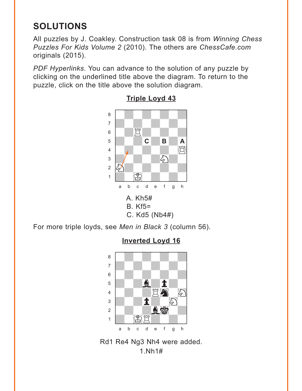# <span id="page-5-0"></span>**SOLUTIONS**

All puzzles by J. Coakley. Construction task 08 is from *Winning Chess Puzzles For Kids Volume 2* (2010). The others are *ChessCafe.com* originals (2015).

*PDF Hyperlinks*. You can advance to the solution of any puzzle by clicking on the underlined title above the diagram. To return to the puzzle, click on the title above the solution diagram.



#### **[Triple Loyd 43](#page-0-0)** where  $\frac{1}{\sqrt{2}}$  and  $\frac{1}{\sqrt{2}}$  and  $\frac{1}{\sqrt{2}}$  and  $\frac{1}{\sqrt{2}}$  and  $\frac{1}{\sqrt{2}}$

For more triple loyds, see *Men in Black 3* (column 56).

## where  $\frac{1}{2}$  is the set of  $\frac{1}{2}$  in the set of  $\frac{1}{2}$ a **chunga a chunga a chunga a chunga a chunga a** àdwdwdwdw] 6 William William William William  $\mathbf{F} = \left( \begin{array}{cc} \mathbf{F} & \mathbf{F} \\ \mathbf{F} & \mathbf{F} \end{array} \right)$ 4 *Wa*wara 19  $\frac{1}{2}$ 2 | *William Willia* | 2  $\frac{1}{2}$   $\frac{1}{2}$   $\frac{1}{2}$   $\frac{1}{2}$   $\frac{1}{2}$   $\frac{1}{2}$   $\frac{1}{2}$   $\frac{1}{2}$   $\frac{1}{2}$   $\frac{1}{2}$   $\frac{1}{2}$   $\frac{1}{2}$   $\frac{1}{2}$   $\frac{1}{2}$   $\frac{1}{2}$   $\frac{1}{2}$   $\frac{1}{2}$   $\frac{1}{2}$   $\frac{1}{2}$   $\frac{1}{2}$   $\frac{1}{2}$   $\frac{1}{2}$  a b c d e f g h

**[Inverted Loyd 16](#page-1-0)**

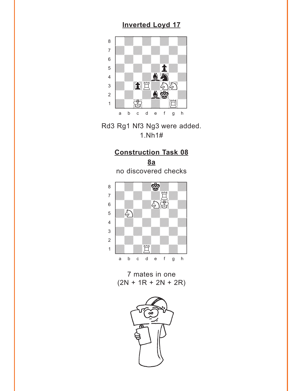## **[Inverted Loyd 17](#page-1-0)**

<span id="page-6-0"></span>

Rd3 Rg1 Nf3 Ng3 were added. 1.Nh1#

## **[Construction Task 08](#page-2-0)**

**8a** no discovered checks



7 mates in one  $(2N + 1R + 2N + 2R)$ 

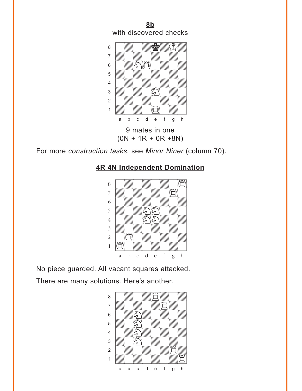<span id="page-7-0"></span>**[8b](#page-2-0)** with discovered checks



For more *construction tasks*, see *Minor Niner* (column 70).





No piece guarded. All vacant squares attacked. There are many solutions. Here's another.

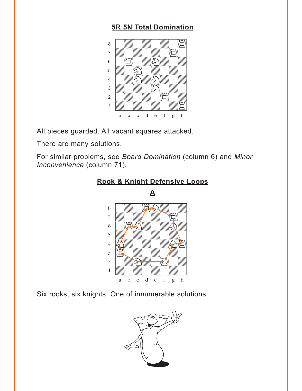### **5R 5N Total Domination**

<span id="page-8-0"></span>

All pieces guarded. All vacant squares attacked.

There are many solutions.

For similar problems, see Board Domination (column 6) and Minor Inconvenience (column 71).



#### Rook & Knight Defensive Loops

Six rooks, six knights. One of innumerable solutions.

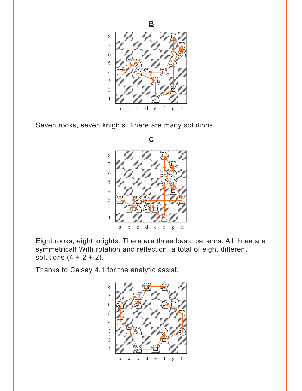

Seven rooks, seven knights. There are many solutions.



Eight rooks, eight knights. There are three basic patterns. All three are symmetrical! With rotation and reflection, a total of eight different solutions  $(4 + 2 + 2)$ .

Thanks to Caisay 4.1 for the analytic assist.



 $\mathbf{B}$